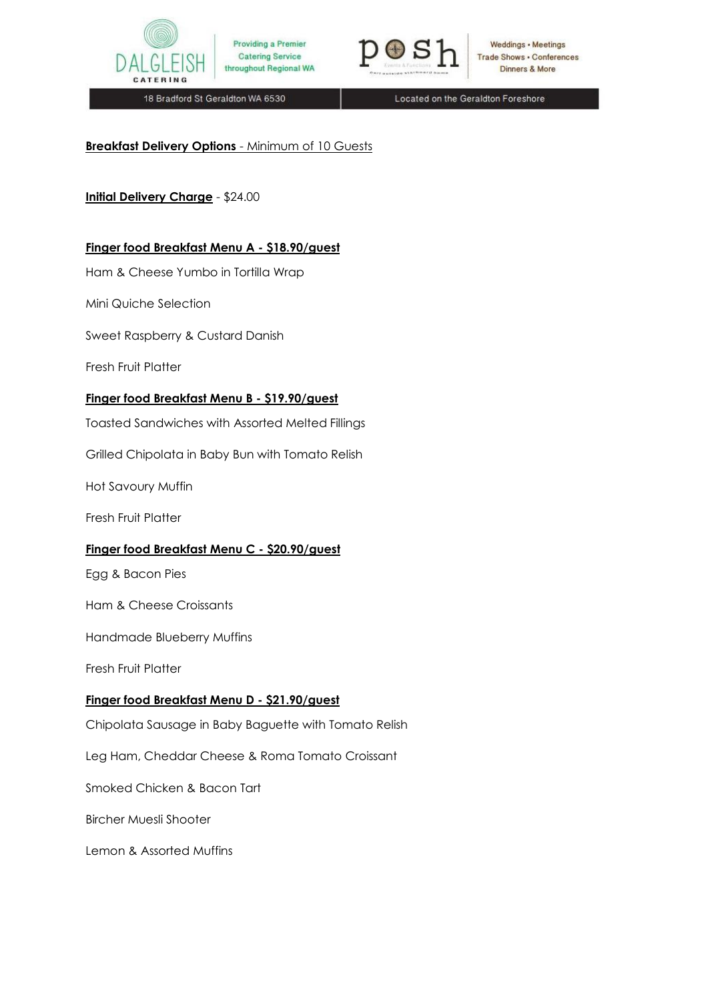



**Weddings • Meetings Trade Shows . Conferences** Dinners & More

18 Bradford St Geraldton WA 6530

Located on the Geraldton Foreshore

## **Breakfast Delivery Options** - Minimum of 10 Guests

## **Initial Delivery Charge** - \$24.00

#### **Finger food Breakfast Menu A - \$18.90/guest**

Ham & Cheese Yumbo in Tortilla Wrap

Mini Quiche Selection

Sweet Raspberry & Custard Danish

Fresh Fruit Platter

#### **Finger food Breakfast Menu B - \$19.90/guest**

Toasted Sandwiches with Assorted Melted Fillings

Grilled Chipolata in Baby Bun with Tomato Relish

Hot Savoury Muffin

Fresh Fruit Platter

#### **Finger food Breakfast Menu C - \$20.90/guest**

Egg & Bacon Pies

Ham & Cheese Croissants

Handmade Blueberry Muffins

Fresh Fruit Platter

#### **Finger food Breakfast Menu D - \$21.90/guest**

Chipolata Sausage in Baby Baguette with Tomato Relish

Leg Ham, Cheddar Cheese & Roma Tomato Croissant

Smoked Chicken & Bacon Tart

Bircher Muesli Shooter

Lemon & Assorted Muffins